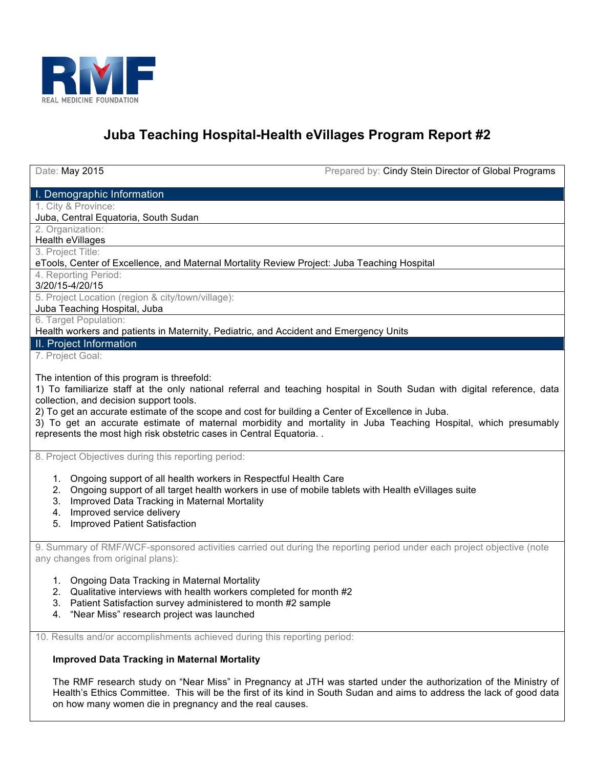

# **Juba Teaching Hospital-Health eVillages Program Report #2**

Date: May 2015 **Prepared by: Cindy Stein Director of Global Programs** 

I. Demographic Information

1. City & Province:

Juba, Central Equatoria, South Sudan

2. Organization:

Health eVillages

3. Project Title:

eTools, Center of Excellence, and Maternal Mortality Review Project: Juba Teaching Hospital

4. Reporting Period:

3/20/15-4/20/15

5. Project Location (region & city/town/village):

Juba Teaching Hospital, Juba

6. Target Population:

Health workers and patients in Maternity, Pediatric, and Accident and Emergency Units

II. Project Information

7. Project Goal:

The intention of this program is threefold:

1) To familiarize staff at the only national referral and teaching hospital in South Sudan with digital reference, data collection, and decision support tools.

2) To get an accurate estimate of the scope and cost for building a Center of Excellence in Juba.

3) To get an accurate estimate of maternal morbidity and mortality in Juba Teaching Hospital, which presumably represents the most high risk obstetric cases in Central Equatoria. .

8. Project Objectives during this reporting period:

- 1. Ongoing support of all health workers in Respectful Health Care
- 2. Ongoing support of all target health workers in use of mobile tablets with Health eVillages suite
- 3. Improved Data Tracking in Maternal Mortality
- 4. Improved service delivery
- 5. Improved Patient Satisfaction

9. Summary of RMF/WCF-sponsored activities carried out during the reporting period under each project objective (note any changes from original plans):

- 1. Ongoing Data Tracking in Maternal Mortality
- 2. Qualitative interviews with health workers completed for month #2
- 3. Patient Satisfaction survey administered to month #2 sample
- 4. "Near Miss" research project was launched

10. Results and/or accomplishments achieved during this reporting period:

# **Improved Data Tracking in Maternal Mortality**

The RMF research study on "Near Miss" in Pregnancy at JTH was started under the authorization of the Ministry of Health's Ethics Committee. This will be the first of its kind in South Sudan and aims to address the lack of good data on how many women die in pregnancy and the real causes.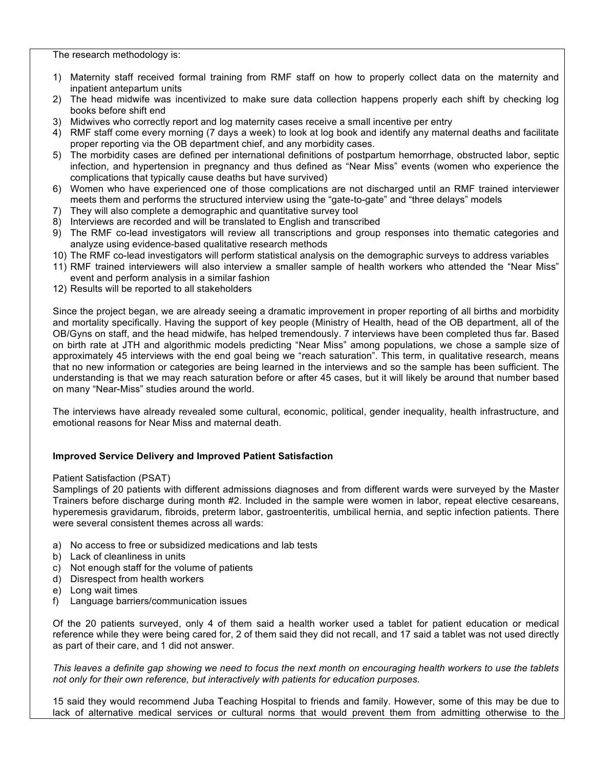The research methodology is:

- 1) Maternity staff received formal training from RMF staff on how to properly collect data on the maternity and inpatient antepartum units
- 2) The head midwife was incentivized to make sure data collection happens properly each shift by checking log books before shift end
- 3) Midwives who correctly report and log maternity cases receive a small incentive per entry
- 4) RMF staff come every morning (7 days a week) to look at log book and identify any maternal deaths and facilitate proper reporting via the OB department chief, and any morbidity cases.
- 5) The morbidity cases are defined per international definitions of postpartum hemorrhage, obstructed labor, septic infection, and hypertension in pregnancy and thus defined as "Near Miss" events (women who experience the complications that typically cause deaths but have survived)
- 6) Women who have experienced one of those complications are not discharged until an RMF trained interviewer meets them and performs the structured interview using the "gate-to-gate" and "three delays" models
- 7) They will also complete a demographic and quantitative survey tool
- 8) Interviews are recorded and will be translated to English and transcribed
- 9) The RMF co-lead investigators will review all transcriptions and group responses into thematic categories and analyze using evidence-based qualitative research methods
- 10) The RMF co-lead investigators will perform statistical analysis on the demographic surveys to address variables
- 11) RMF trained interviewers will also interview a smaller sample of health workers who attended the "Near Miss" event and perform analysis in a similar fashion
- 12) Results will be reported to all stakeholders

Since the project began, we are already seeing a dramatic improvement in proper reporting of all births and morbidity and mortality specifically. Having the support of key people (Ministry of Health, head of the OB department, all of the OB/Gyns on staff, and the head midwife, has helped tremendously. 7 interviews have been completed thus far. Based on birth rate at JTH and algorithmic models predicting "Near Miss" among populations, we chose a sample size of approximately 45 interviews with the end goal being we "reach saturation". This term, in qualitative research, means that no new information or categories are being learned in the interviews and so the sample has been sufficient. The understanding is that we may reach saturation before or after 45 cases, but it will likely be around that number based on many "Near-Miss" studies around the world.

The interviews have already revealed some cultural, economic, political, gender inequality, health infrastructure, and emotional reasons for Near Miss and maternal death.

# **Improved Service Delivery and Improved Patient Satisfaction**

# Patient Satisfaction (PSAT)

Samplings of 20 patients with different admissions diagnoses and from different wards were surveyed by the Master Trainers before discharge during month #2. Included in the sample were women in labor, repeat elective cesareans, hyperemesis gravidarum, fibroids, preterm labor, gastroenteritis, umbilical hernia, and septic infection patients. There were several consistent themes across all wards:

- a) No access to free or subsidized medications and lab tests
- b) Lack of cleanliness in units
- c) Not enough staff for the volume of patients
- d) Disrespect from health workers
- e) Long wait times
- f) Language barriers/communication issues

Of the 20 patients surveyed, only 4 of them said a health worker used a tablet for patient education or medical reference while they were being cared for, 2 of them said they did not recall, and 17 said a tablet was not used directly as part of their care, and 1 did not answer.

*This leaves a definite gap showing we need to focus the next month on encouraging health workers to use the tablets not only for their own reference, but interactively with patients for education purposes.* 

15 said they would recommend Juba Teaching Hospital to friends and family. However, some of this may be due to lack of alternative medical services or cultural norms that would prevent them from admitting otherwise to the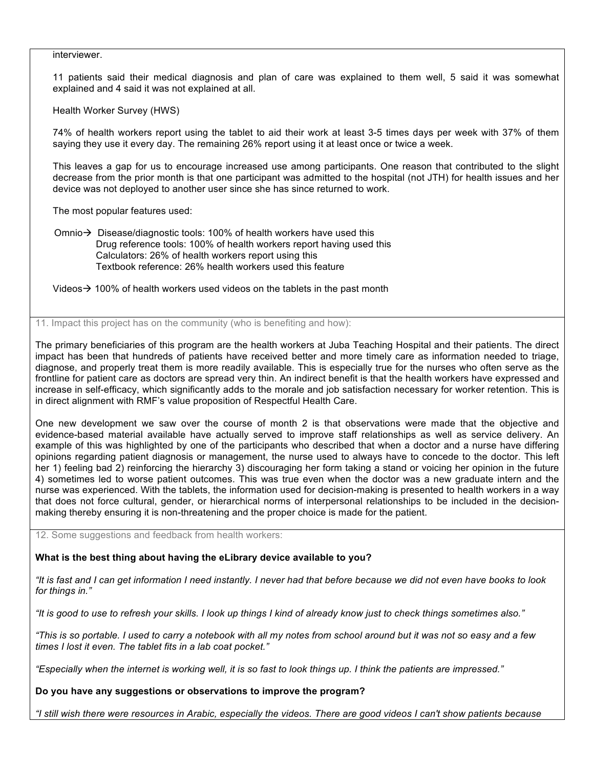#### interviewer.

11 patients said their medical diagnosis and plan of care was explained to them well, 5 said it was somewhat explained and 4 said it was not explained at all.

Health Worker Survey (HWS)

74% of health workers report using the tablet to aid their work at least 3-5 times days per week with 37% of them saying they use it every day. The remaining 26% report using it at least once or twice a week.

This leaves a gap for us to encourage increased use among participants. One reason that contributed to the slight decrease from the prior month is that one participant was admitted to the hospital (not JTH) for health issues and her device was not deployed to another user since she has since returned to work.

The most popular features used:

Omnio  $\rightarrow$  Disease/diagnostic tools: 100% of health workers have used this Drug reference tools: 100% of health workers report having used this Calculators: 26% of health workers report using this Textbook reference: 26% health workers used this feature

Videos  $\rightarrow$  100% of health workers used videos on the tablets in the past month

11. Impact this project has on the community (who is benefiting and how):

The primary beneficiaries of this program are the health workers at Juba Teaching Hospital and their patients. The direct impact has been that hundreds of patients have received better and more timely care as information needed to triage, diagnose, and properly treat them is more readily available. This is especially true for the nurses who often serve as the frontline for patient care as doctors are spread very thin. An indirect benefit is that the health workers have expressed and increase in self-efficacy, which significantly adds to the morale and job satisfaction necessary for worker retention. This is in direct alignment with RMF's value proposition of Respectful Health Care.

One new development we saw over the course of month 2 is that observations were made that the objective and evidence-based material available have actually served to improve staff relationships as well as service delivery. An example of this was highlighted by one of the participants who described that when a doctor and a nurse have differing opinions regarding patient diagnosis or management, the nurse used to always have to concede to the doctor. This left her 1) feeling bad 2) reinforcing the hierarchy 3) discouraging her form taking a stand or voicing her opinion in the future 4) sometimes led to worse patient outcomes. This was true even when the doctor was a new graduate intern and the nurse was experienced. With the tablets, the information used for decision-making is presented to health workers in a way that does not force cultural, gender, or hierarchical norms of interpersonal relationships to be included in the decisionmaking thereby ensuring it is non-threatening and the proper choice is made for the patient.

12. Some suggestions and feedback from health workers:

# **What is the best thing about having the eLibrary device available to you?**

*"It is fast and I can get information I need instantly. I never had that before because we did not even have books to look for things in."*

*"It is good to use to refresh your skills. I look up things I kind of already know just to check things sometimes also."*

*"This is so portable. I used to carry a notebook with all my notes from school around but it was not so easy and a few times I lost it even. The tablet fits in a lab coat pocket."*

*"Especially when the internet is working well, it is so fast to look things up. I think the patients are impressed."*

**Do you have any suggestions or observations to improve the program?**

*"I still wish there were resources in Arabic, especially the videos. There are good videos I can't show patients because*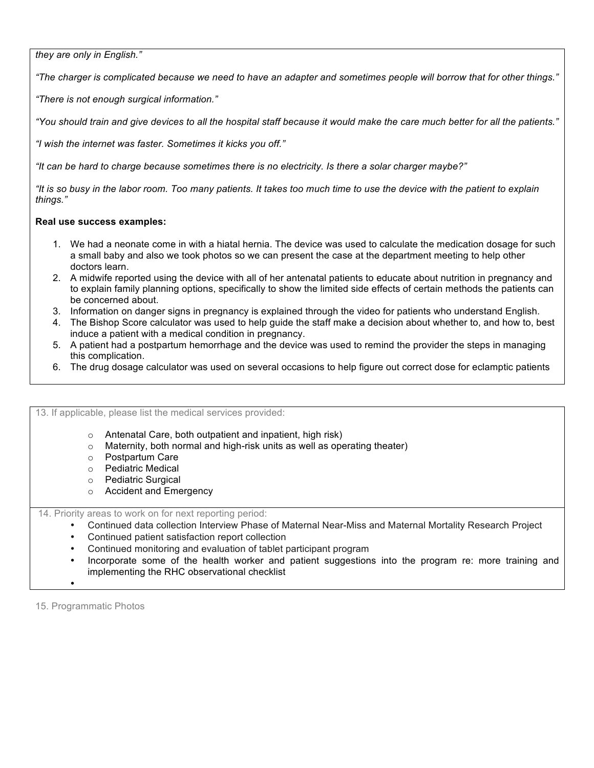*they are only in English."*

*"The charger is complicated because we need to have an adapter and sometimes people will borrow that for other things."*

*"There is not enough surgical information."*

*"You should train and give devices to all the hospital staff because it would make the care much better for all the patients."*

*"I wish the internet was faster. Sometimes it kicks you off."*

*"It can be hard to charge because sometimes there is no electricity. Is there a solar charger maybe?"*

*"It is so busy in the labor room. Too many patients. It takes too much time to use the device with the patient to explain things."*

# **Real use success examples:**

- 1. We had a neonate come in with a hiatal hernia. The device was used to calculate the medication dosage for such a small baby and also we took photos so we can present the case at the department meeting to help other doctors learn.
- 2. A midwife reported using the device with all of her antenatal patients to educate about nutrition in pregnancy and to explain family planning options, specifically to show the limited side effects of certain methods the patients can be concerned about.
- 3. Information on danger signs in pregnancy is explained through the video for patients who understand English.
- 4. The Bishop Score calculator was used to help guide the staff make a decision about whether to, and how to, best induce a patient with a medical condition in pregnancy.
- 5. A patient had a postpartum hemorrhage and the device was used to remind the provider the steps in managing this complication.
- 6. The drug dosage calculator was used on several occasions to help figure out correct dose for eclamptic patients

# 13. If applicable, please list the medical services provided:

- o Antenatal Care, both outpatient and inpatient, high risk)
- o Maternity, both normal and high-risk units as well as operating theater)
- o Postpartum Care
- o Pediatric Medical
- o Pediatric Surgical
- o Accident and Emergency

14. Priority areas to work on for next reporting period:

- Continued data collection Interview Phase of Maternal Near-Miss and Maternal Mortality Research Project
- Continued patient satisfaction report collection
- Continued monitoring and evaluation of tablet participant program
- Incorporate some of the health worker and patient suggestions into the program re: more training and implementing the RHC observational checklist

15. Programmatic Photos

•